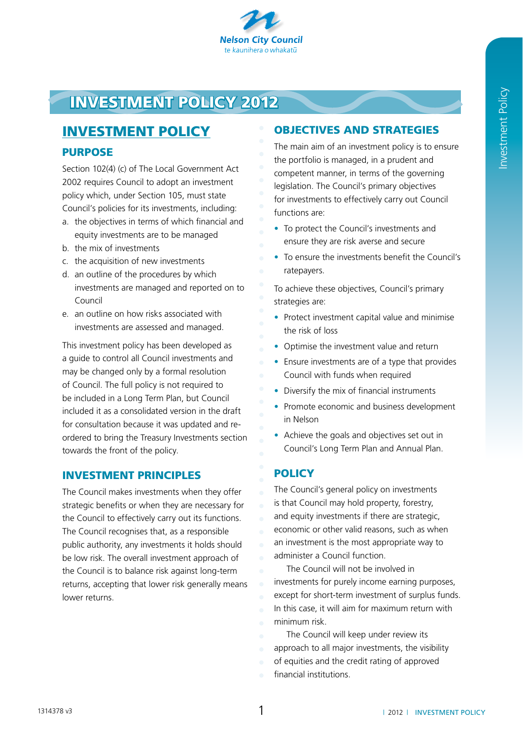

# Investment policy 2012

# investment policy

# **PURPOSE**

Section 102(4) (c) of The Local Government Act 2002 requires Council to adopt an investment policy which, under Section 105, must state Council's policies for its investments, including:

- a. the objectives in terms of which financial and equity investments are to be managed
- b. the mix of investments
- c. the acquisition of new investments
- d. an outline of the procedures by which investments are managed and reported on to Council
- e. an outline on how risks associated with investments are assessed and managed.

This investment policy has been developed as a guide to control all Council investments and may be changed only by a formal resolution of Council. The full policy is not required to be included in a Long Term Plan, but Council included it as a consolidated version in the draft for consultation because it was updated and reordered to bring the Treasury Investments section towards the front of the policy.

# Investment principles

The Council makes investments when they offer strategic benefits or when they are necessary for the Council to effectively carry out its functions. The Council recognises that, as a responsible public authority, any investments it holds should be low risk. The overall investment approach of the Council is to balance risk against long-term returns, accepting that lower risk generally means lower returns.

# Objectives and strategies

The main aim of an investment policy is to ensure the portfolio is managed, in a prudent and competent manner, in terms of the governing legislation. The Council's primary objectives for investments to effectively carry out Council functions are:

- To protect the Council's investments and ensure they are risk averse and secure
- To ensure the investments benefit the Council's ratepayers.

To achieve these objectives, Council's primary strategies are:

- Protect investment capital value and minimise the risk of loss
- Optimise the investment value and return
- Ensure investments are of a type that provides Council with funds when required
- Diversify the mix of financial instruments
- Promote economic and business development in Nelson
- Achieve the goals and objectives set out in Council's Long Term Plan and Annual Plan.

# **POLICY**

The Council's general policy on investments is that Council may hold property, forestry, and equity investments if there are strategic, economic or other valid reasons, such as when an investment is the most appropriate way to administer a Council function.

The Council will not be involved in investments for purely income earning purposes, except for short-term investment of surplus funds. In this case, it will aim for maximum return with minimum risk.

The Council will keep under review its approach to all major investments, the visibility of equities and the credit rating of approved financial institutions.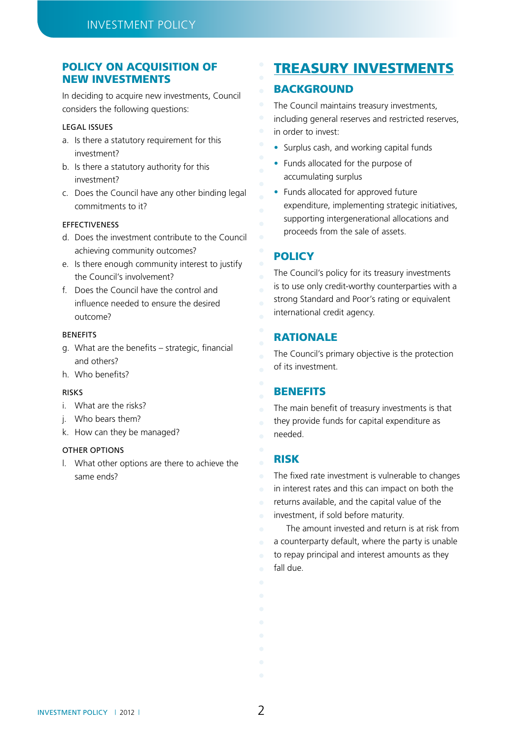# Policy on acquisition of new investments

In deciding to acquire new investments, Council considers the following questions:

#### Legal issues

- a. Is there a statutory requirement for this investment?
- b. Is there a statutory authority for this investment?
- c. Does the Council have any other binding legal commitments to it?

#### Effectiveness

- d. Does the investment contribute to the Council achieving community outcomes?
- e. Is there enough community interest to justify the Council's involvement?
- f. Does the Council have the control and influence needed to ensure the desired outcome?

#### **BENEFITS**

- g. What are the benefits strategic, financial and others?
- h. Who benefits?

#### *<u>DICKC</u>*

- i. What are the risks?
- j. Who bears them?
- k. How can they be managed?

# **OTHER OPTIONS**

l. What other options are there to achieve the same ends?

# Treasury investments

# **BACKGROUND**

The Council maintains treasury investments, including general reserves and restricted reserves, in order to invest:

- Surplus cash, and working capital funds
- Funds allocated for the purpose of accumulating surplus
- Funds allocated for approved future expenditure, implementing strategic initiatives, supporting intergenerational allocations and proceeds from the sale of assets.

# **POLICY**

The Council's policy for its treasury investments is to use only credit-worthy counterparties with a strong Standard and Poor's rating or equivalent international credit agency.

# **RATIONALE**

The Council's primary objective is the protection of its investment.

# **BENEFITS**

The main benefit of treasury investments is that they provide funds for capital expenditure as needed.

# Risk

The fixed rate investment is vulnerable to changes in interest rates and this can impact on both the returns available, and the capital value of the investment, if sold before maturity.

The amount invested and return is at risk from a counterparty default, where the party is unable to repay principal and interest amounts as they fall due.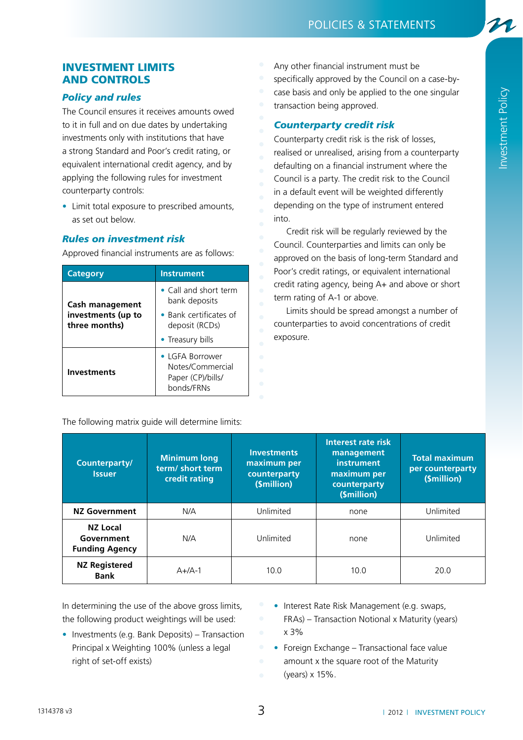# Investment limits and controls

# *Policy and rules*

The Council ensures it receives amounts owed to it in full and on due dates by undertaking investments only with institutions that have a strong Standard and Poor's credit rating, or equivalent international credit agency, and by applying the following rules for investment counterparty controls:

• Limit total exposure to prescribed amounts, as set out below.

# *Rules on investment risk*

Approved financial instruments are as follows:

| <b>Category</b>                                        | <b>Instrument</b>                                                                                              |  |  |
|--------------------------------------------------------|----------------------------------------------------------------------------------------------------------------|--|--|
| Cash management<br>investments (up to<br>three months) | • Call and short term<br>bank deposits<br>$\bullet$ Bank certificates of<br>deposit (RCDs)<br>• Treasury bills |  |  |
| <b>Investments</b>                                     | $\bullet$ I GFA Borrower<br>Notes/Commercial<br>Paper (CP)/bills/<br>bonds/FRNs                                |  |  |

The following matrix guide will determine limits:

Any other financial instrument must be specifically approved by the Council on a case-bycase basis and only be applied to the one singular transaction being approved.

# *Counterparty credit risk*

Counterparty credit risk is the risk of losses, realised or unrealised, arising from a counterparty defaulting on a financial instrument where the Council is a party. The credit risk to the Council in a default event will be weighted differently depending on the type of instrument entered into.

Credit risk will be regularly reviewed by the Council. Counterparties and limits can only be approved on the basis of long-term Standard and Poor's credit ratings, or equivalent international credit rating agency, being A+ and above or short term rating of A-1 or above.

Limits should be spread amongst a number of counterparties to avoid concentrations of credit exposure.

| Counterparty/<br><b>Issuer</b>                         | <b>Minimum long</b><br>term/short term<br>credit rating | <b>Investments</b><br>maximum per<br>counterparty<br>(\$million) | Interest rate risk<br>management<br>instrument<br>maximum per<br>counterparty<br>(\$million) | <b>Total maximum</b><br>per counterparty<br>(\$million) |
|--------------------------------------------------------|---------------------------------------------------------|------------------------------------------------------------------|----------------------------------------------------------------------------------------------|---------------------------------------------------------|
| <b>NZ Government</b>                                   | N/A                                                     | Unlimited                                                        | none                                                                                         | Unlimited                                               |
| <b>NZ Local</b><br>Government<br><b>Funding Agency</b> | N/A                                                     | Unlimited                                                        | none                                                                                         | Unlimited                                               |
| <b>NZ Registered</b><br><b>Bank</b>                    | $A+/A-1$                                                | 10.0                                                             | 10.0                                                                                         | 20.0                                                    |

In determining the use of the above gross limits, the following product weightings will be used:

- Investments (e.g. Bank Deposits) Transaction Principal x Weighting 100% (unless a legal right of set-off exists)
- Interest Rate Risk Management (e.g. swaps, FRAs) – Transaction Notional x Maturity (years) x 3%
- $\bullet$  Foreign Exchange Transactional face value amount x the square root of the Maturity (years) x 15%.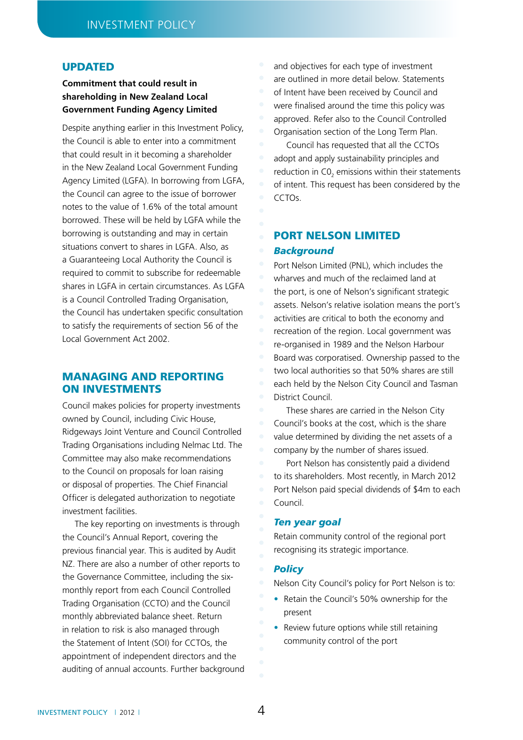# **UPDATED**

# **Commitment that could result in shareholding in New Zealand Local Government Funding Agency Limited**

Despite anything earlier in this Investment Policy, the Council is able to enter into a commitment that could result in it becoming a shareholder in the New Zealand Local Government Funding Agency Limited (LGFA). In borrowing from LGFA, the Council can agree to the issue of borrower notes to the value of 1.6% of the total amount borrowed. These will be held by LGFA while the borrowing is outstanding and may in certain situations convert to shares in LGFA. Also, as a Guaranteeing Local Authority the Council is required to commit to subscribe for redeemable shares in LGFA in certain circumstances. As LGFA is a Council Controlled Trading Organisation, the Council has undertaken specific consultation to satisfy the requirements of section 56 of the Local Government Act 2002.

# Managing and reporting on investments

Council makes policies for property investments owned by Council, including Civic House, Ridgeways Joint Venture and Council Controlled Trading Organisations including Nelmac Ltd. The Committee may also make recommendations to the Council on proposals for loan raising or disposal of properties. The Chief Financial Officer is delegated authorization to negotiate investment facilities.

The key reporting on investments is through the Council's Annual Report, covering the previous financial year. This is audited by Audit NZ. There are also a number of other reports to the Governance Committee, including the sixmonthly report from each Council Controlled Trading Organisation (CCTO) and the Council monthly abbreviated balance sheet. Return in relation to risk is also managed through the Statement of Intent (SOI) for CCTOs, the appointment of independent directors and the auditing of annual accounts. Further background and objectives for each type of investment are outlined in more detail below. Statements of Intent have been received by Council and were finalised around the time this policy was approved. Refer also to the Council Controlled Organisation section of the Long Term Plan.

Council has requested that all the CCTOs adopt and apply sustainability principles and reduction in  $CO<sub>2</sub>$  emissions within their statements of intent. This request has been considered by the CCTOs.

# Port Nelson Limited *Background*

Port Nelson Limited (PNL), which includes the wharves and much of the reclaimed land at the port, is one of Nelson's significant strategic assets. Nelson's relative isolation means the port's activities are critical to both the economy and recreation of the region. Local government was re-organised in 1989 and the Nelson Harbour Board was corporatised. Ownership passed to the two local authorities so that 50% shares are still each held by the Nelson City Council and Tasman District Council.

These shares are carried in the Nelson City Council's books at the cost, which is the share value determined by dividing the net assets of a company by the number of shares issued.

Port Nelson has consistently paid a dividend to its shareholders. Most recently, in March 2012 Port Nelson paid special dividends of \$4m to each Council.

#### *Ten year goal*

Retain community control of the regional port recognising its strategic importance.

#### *Policy*

Nelson City Council's policy for Port Nelson is to:

- Retain the Council's 50% ownership for the present
- Review future options while still retaining community control of the port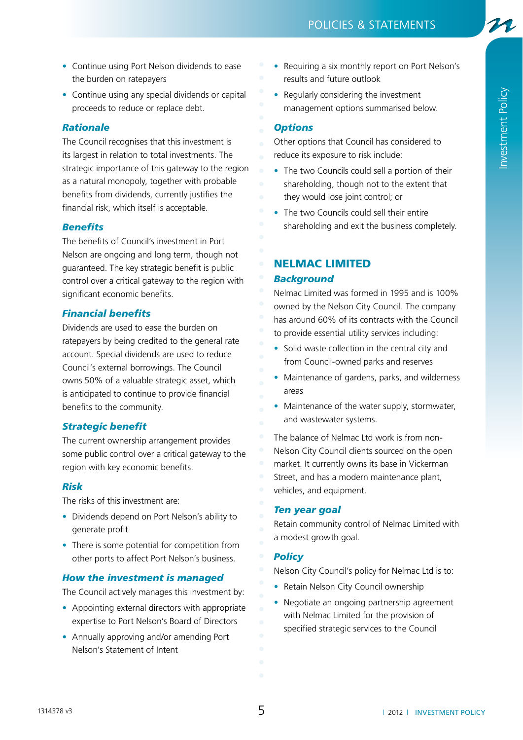- Continue using Port Nelson dividends to ease the burden on ratepayers
- Continue using any special dividends or capital proceeds to reduce or replace debt.

# *Rationale*

The Council recognises that this investment is its largest in relation to total investments. The strategic importance of this gateway to the region as a natural monopoly, together with probable benefits from dividends, currently justifies the financial risk, which itself is acceptable.

## *Benefits*

The benefits of Council's investment in Port Nelson are ongoing and long term, though not guaranteed. The key strategic benefit is public control over a critical gateway to the region with significant economic benefits.

# *Financial benefits*

Dividends are used to ease the burden on ratepayers by being credited to the general rate account. Special dividends are used to reduce Council's external borrowings. The Council owns 50% of a valuable strategic asset, which is anticipated to continue to provide financial benefits to the community.

## *Strategic benefit*

The current ownership arrangement provides some public control over a critical gateway to the region with key economic benefits.

## *Risk*

The risks of this investment are:

- Dividends depend on Port Nelson's ability to generate profit
- There is some potential for competition from other ports to affect Port Nelson's business.

## *How the investment is managed*

The Council actively manages this investment by:

- Appointing external directors with appropriate expertise to Port Nelson's Board of Directors
- Annually approving and/or amending Port Nelson's Statement of Intent
- Requiring a six monthly report on Port Nelson's results and future outlook
- Regularly considering the investment management options summarised below.

# *Options*

Other options that Council has considered to reduce its exposure to risk include:

- The two Councils could sell a portion of their shareholding, though not to the extent that they would lose joint control; or
- The two Councils could sell their entire shareholding and exit the business completely.

# Nelmac Limited

## *Background*

Nelmac Limited was formed in 1995 and is 100% owned by the Nelson City Council. The company has around 60% of its contracts with the Council to provide essential utility services including:

- Solid waste collection in the central city and from Council-owned parks and reserves
- Maintenance of gardens, parks, and wilderness areas
- Maintenance of the water supply, stormwater, and wastewater systems.

The balance of Nelmac Ltd work is from non-Nelson City Council clients sourced on the open market. It currently owns its base in Vickerman Street, and has a modern maintenance plant, vehicles, and equipment.

### *Ten year goal*

Retain community control of Nelmac Limited with a modest growth goal.

## *Policy*

Nelson City Council's policy for Nelmac Ltd is to:

- Retain Nelson City Council ownership
- Negotiate an ongoing partnership agreement with Nelmac Limited for the provision of specified strategic services to the Council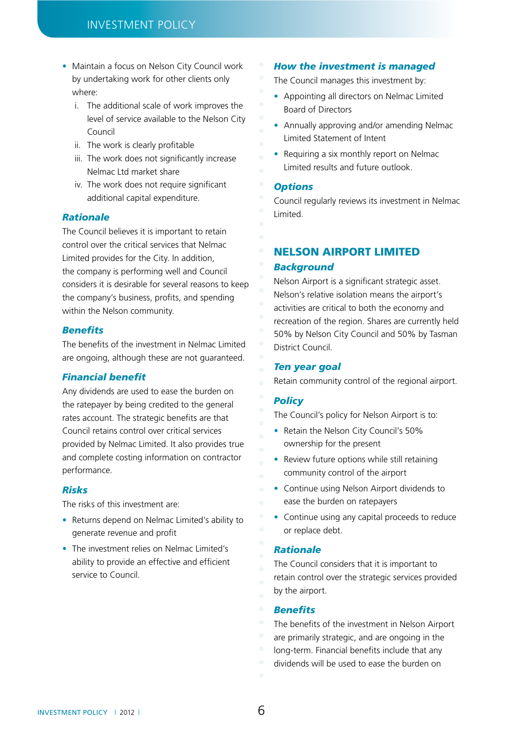- Maintain a focus on Nelson City Council work by undertaking work for other clients only where:
	- i. The additional scale of work improves the level of service available to the Nelson City Council
	- ii. The work is clearly profitable
	- iii. The work does not significantly increase Nelmac Ltd market share
	- iv. The work does not require significant additional capital expenditure.

### *Rationale*

The Council believes it is important to retain control over the critical services that Nelmac Limited provides for the City. In addition, the company is performing well and Council considers it is desirable for several reasons to keep the company's business, profits, and spending within the Nelson community.

### *Benefits*

The benefits of the investment in Nelmac Limited are ongoing, although these are not guaranteed.

### *Financial benefit*

Any dividends are used to ease the burden on the ratepayer by being credited to the general rates account. The strategic benefits are that Council retains control over critical services provided by Nelmac Limited. It also provides true and complete costing information on contractor performance.

## *Risks*

The risks of this investment are:

- Returns depend on Nelmac Limited's ability to generate revenue and profit
- The investment relies on Nelmac Limited's ability to provide an effective and efficient service to Council.

#### *How the investment is managed*

The Council manages this investment by:

- Appointing all directors on Nelmac Limited Board of Directors
- Annually approving and/or amending Nelmac Limited Statement of Intent
- Requiring a six monthly report on Nelmac Limited results and future outlook.

## *Options*

Council regularly reviews its investment in Nelmac Limited.

# Nelson Airport Limited

## *Background*

Nelson Airport is a significant strategic asset. Nelson's relative isolation means the airport's activities are critical to both the economy and recreation of the region. Shares are currently held 50% by Nelson City Council and 50% by Tasman District Council.

### *Ten year goal*

Retain community control of the regional airport.

## *Policy*

The Council's policy for Nelson Airport is to:

- Retain the Nelson City Council's 50% ownership for the present
- Review future options while still retaining community control of the airport
- Continue using Nelson Airport dividends to ease the burden on ratepayers
- Continue using any capital proceeds to reduce or replace debt.

### *Rationale*

The Council considers that it is important to retain control over the strategic services provided by the airport.

## *Benefits*

- The benefits of the investment in Nelson Airport
- are primarily strategic, and are ongoing in the
- long-term. Financial benefits include that any
- dividends will be used to ease the burden on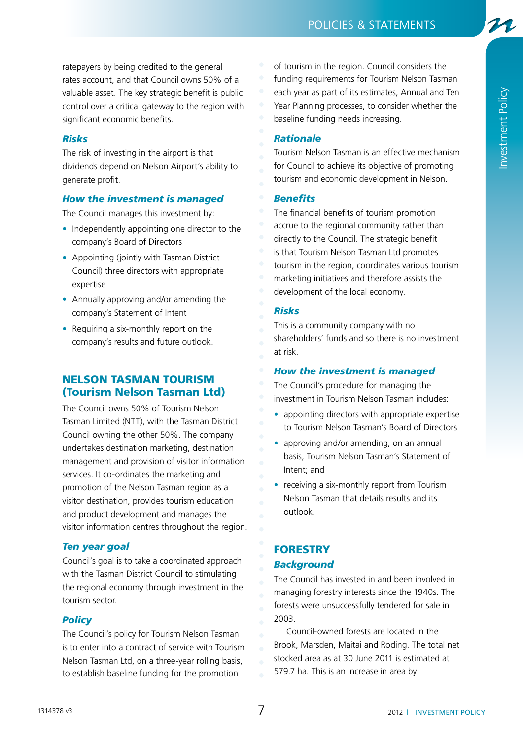21

ratepayers by being credited to the general rates account, and that Council owns 50% of a valuable asset. The key strategic benefit is public control over a critical gateway to the region with significant economic benefits.

# *Risks*

The risk of investing in the airport is that dividends depend on Nelson Airport's ability to generate profit.

## *How the investment is managed*

The Council manages this investment by:

- Independently appointing one director to the company's Board of Directors
- Appointing (jointly with Tasman District Council) three directors with appropriate expertise
- Annually approving and/or amending the company's Statement of Intent
- $\bullet$  Requiring a six-monthly report on the company's results and future outlook.

# Nelson Tasman Tourism (Tourism Nelson Tasman Ltd)

The Council owns 50% of Tourism Nelson Tasman Limited (NTT), with the Tasman District Council owning the other 50%. The company undertakes destination marketing, destination management and provision of visitor information services. It co-ordinates the marketing and promotion of the Nelson Tasman region as a visitor destination, provides tourism education and product development and manages the visitor information centres throughout the region.

# *Ten year goal*

Council's goal is to take a coordinated approach with the Tasman District Council to stimulating the regional economy through investment in the tourism sector.

## *Policy*

The Council's policy for Tourism Nelson Tasman is to enter into a contract of service with Tourism Nelson Tasman Ltd, on a three-year rolling basis, to establish baseline funding for the promotion

of tourism in the region. Council considers the funding requirements for Tourism Nelson Tasman each year as part of its estimates, Annual and Ten Year Planning processes, to consider whether the baseline funding needs increasing.

## *Rationale*

Tourism Nelson Tasman is an effective mechanism for Council to achieve its objective of promoting tourism and economic development in Nelson.

# *Benefits*

The financial benefits of tourism promotion accrue to the regional community rather than directly to the Council. The strategic benefit is that Tourism Nelson Tasman Ltd promotes tourism in the region, coordinates various tourism marketing initiatives and therefore assists the development of the local economy.

## *Risks*

This is a community company with no shareholders' funds and so there is no investment at risk.

## *How the investment is managed*

The Council's procedure for managing the investment in Tourism Nelson Tasman includes:

- appointing directors with appropriate expertise to Tourism Nelson Tasman's Board of Directors
- approving and/or amending, on an annual basis, Tourism Nelson Tasman's Statement of Intent; and
- receiving a six-monthly report from Tourism Nelson Tasman that details results and its outlook.

# **FORESTRY** *Background*

The Council has invested in and been involved in managing forestry interests since the 1940s. The forests were unsuccessfully tendered for sale in 2003.

Council-owned forests are located in the Brook, Marsden, Maitai and Roding. The total net stocked area as at 30 June 2011 is estimated at 579.7 ha. This is an increase in area by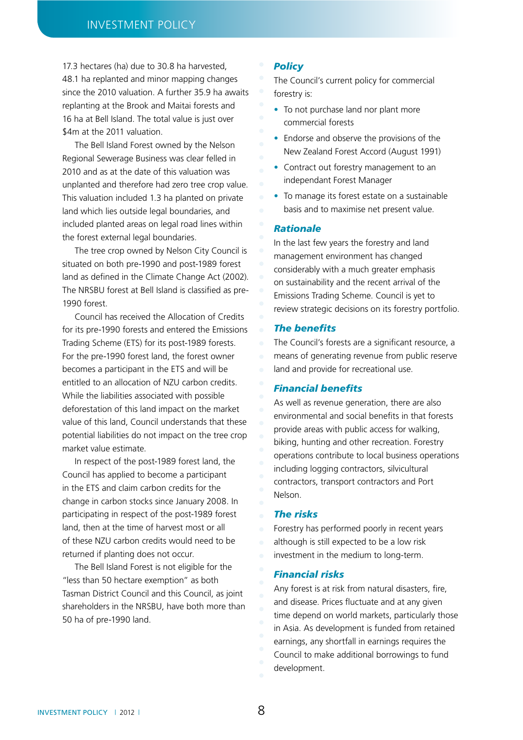17.3 hectares (ha) due to 30.8 ha harvested, 48.1 ha replanted and minor mapping changes since the 2010 valuation. A further 35.9 ha awaits replanting at the Brook and Maitai forests and 16 ha at Bell Island. The total value is just over \$4m at the 2011 valuation.

The Bell Island Forest owned by the Nelson Regional Sewerage Business was clear felled in 2010 and as at the date of this valuation was unplanted and therefore had zero tree crop value. This valuation included 1.3 ha planted on private land which lies outside legal boundaries, and included planted areas on legal road lines within the forest external legal boundaries.

The tree crop owned by Nelson City Council is situated on both pre-1990 and post-1989 forest land as defined in the Climate Change Act (2002). The NRSBU forest at Bell Island is classified as pre-1990 forest.

Council has received the Allocation of Credits for its pre-1990 forests and entered the Emissions Trading Scheme (ETS) for its post-1989 forests. For the pre-1990 forest land, the forest owner becomes a participant in the ETS and will be entitled to an allocation of NZU carbon credits. While the liabilities associated with possible deforestation of this land impact on the market value of this land, Council understands that these potential liabilities do not impact on the tree crop market value estimate.

In respect of the post-1989 forest land, the Council has applied to become a participant in the ETS and claim carbon credits for the change in carbon stocks since January 2008. In participating in respect of the post-1989 forest land, then at the time of harvest most or all of these NZU carbon credits would need to be returned if planting does not occur.

The Bell Island Forest is not eligible for the "less than 50 hectare exemption" as both Tasman District Council and this Council, as joint shareholders in the NRSBU, have both more than 50 ha of pre-1990 land.

#### *Policy*

The Council's current policy for commercial forestry is:

- To not purchase land nor plant more commercial forests
- Endorse and observe the provisions of the New Zealand Forest Accord (August 1991)
- Contract out forestry management to an independant Forest Manager
- To manage its forest estate on a sustainable basis and to maximise net present value.

## *Rationale*

In the last few years the forestry and land management environment has changed considerably with a much greater emphasis on sustainability and the recent arrival of the Emissions Trading Scheme. Council is yet to review strategic decisions on its forestry portfolio.

## *The benefits*

The Council's forests are a significant resource, a means of generating revenue from public reserve land and provide for recreational use.

#### *Financial benefits*

As well as revenue generation, there are also environmental and social benefits in that forests provide areas with public access for walking, biking, hunting and other recreation. Forestry operations contribute to local business operations including logging contractors, silvicultural contractors, transport contractors and Port Nelson.

#### *The risks*

Forestry has performed poorly in recent years although is still expected to be a low risk investment in the medium to long-term.

#### *Financial risks*

Any forest is at risk from natural disasters, fire, and disease. Prices fluctuate and at any given time depend on world markets, particularly those in Asia. As development is funded from retained earnings, any shortfall in earnings requires the Council to make additional borrowings to fund development.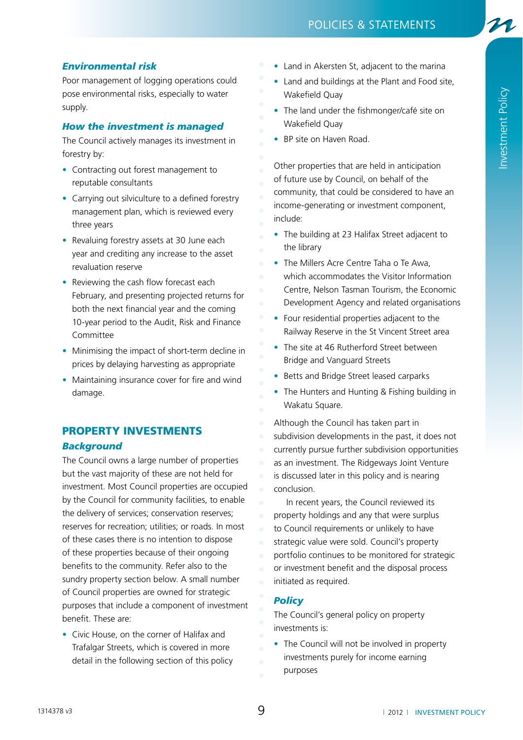# *Environmental risk*

Poor management of logging operations could pose environmental risks, especially to water supply.

## *How the investment is managed*

The Council actively manages its investment in forestry by:

- Contracting out forest management to reputable consultants
- Carrying out silviculture to a defined forestry management plan, which is reviewed every three years
- Revaluing forestry assets at 30 June each year and crediting any increase to the asset revaluation reserve
- Reviewing the cash flow forecast each February, and presenting projected returns for both the next financial year and the coming 10-year period to the Audit, Risk and Finance Committee
- Minimising the impact of short-term decline in prices by delaying harvesting as appropriate
- Maintaining insurance cover for fire and wind damage.

# Property investments *Background*

The Council owns a large number of properties but the vast majority of these are not held for investment. Most Council properties are occupied by the Council for community facilities, to enable the delivery of services; conservation reserves; reserves for recreation; utilities; or roads. In most of these cases there is no intention to dispose of these properties because of their ongoing benefits to the community. Refer also to the sundry property section below. A small number of Council properties are owned for strategic purposes that include a component of investment benefit. These are:

• Civic House, on the corner of Halifax and Trafalgar Streets, which is covered in more detail in the following section of this policy

- Land in Akersten St, adjacent to the marina
- Land and buildings at the Plant and Food site, Wakefield Quay
- The land under the fishmonger/café site on Wakefield Quay
- BP site on Haven Road.

Other properties that are held in anticipation of future use by Council, on behalf of the community, that could be considered to have an income-generating or investment component, include:

- The building at 23 Halifax Street adjacent to the library
- The Millers Acre Centre Taha o Te Awa, which accommodates the Visitor Information Centre, Nelson Tasman Tourism, the Economic Development Agency and related organisations
- Four residential properties adjacent to the Railway Reserve in the St Vincent Street area
- The site at 46 Rutherford Street between Bridge and Vanguard Streets
- Betts and Bridge Street leased carparks
- The Hunters and Hunting & Fishing building in Wakatu Square.

Although the Council has taken part in subdivision developments in the past, it does not currently pursue further subdivision opportunities as an investment. The Ridgeways Joint Venture is discussed later in this policy and is nearing conclusion.

In recent years, the Council reviewed its property holdings and any that were surplus to Council requirements or unlikely to have strategic value were sold. Council's property portfolio continues to be monitored for strategic or investment benefit and the disposal process initiated as required.

## *Policy*

The Council's general policy on property investments is:

• The Council will not be involved in property investments purely for income earning purposes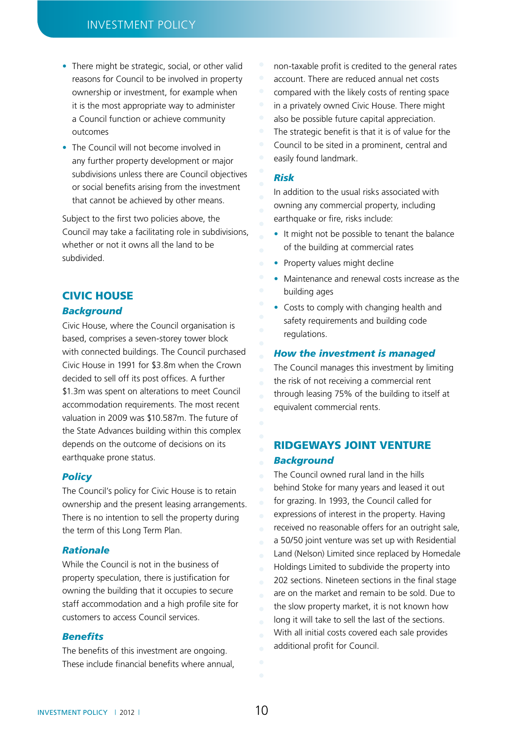- There might be strategic, social, or other valid reasons for Council to be involved in property ownership or investment, for example when it is the most appropriate way to administer a Council function or achieve community outcomes
- The Council will not become involved in any further property development or major subdivisions unless there are Council objectives or social benefits arising from the investment that cannot be achieved by other means.

Subject to the first two policies above, the Council may take a facilitating role in subdivisions, whether or not it owns all the land to be subdivided.

## Civic House

### *Background*

Civic House, where the Council organisation is based, comprises a seven-storey tower block with connected buildings. The Council purchased Civic House in 1991 for \$3.8m when the Crown decided to sell off its post offices. A further \$1.3m was spent on alterations to meet Council accommodation requirements. The most recent valuation in 2009 was \$10.587m. The future of the State Advances building within this complex depends on the outcome of decisions on its earthquake prone status.

## *Policy*

The Council's policy for Civic House is to retain ownership and the present leasing arrangements. There is no intention to sell the property during the term of this Long Term Plan.

#### *Rationale*

While the Council is not in the business of property speculation, there is justification for owning the building that it occupies to secure staff accommodation and a high profile site for customers to access Council services.

#### *Benefits*

The benefits of this investment are ongoing. These include financial benefits where annual,

- non-taxable profit is credited to the general rates
- account. There are reduced annual net costs
- compared with the likely costs of renting space
- in a privately owned Civic House. There might
- also be possible future capital appreciation.
- The strategic benefit is that it is of value for the Council to be sited in a prominent, central and easily found landmark.

#### *Risk*

In addition to the usual risks associated with owning any commercial property, including earthquake or fire, risks include:

- It might not be possible to tenant the balance of the building at commercial rates
- Property values might decline
- Maintenance and renewal costs increase as the building ages
- Costs to comply with changing health and safety requirements and building code regulations.

#### *How the investment is managed*

The Council manages this investment by limiting the risk of not receiving a commercial rent through leasing 75% of the building to itself at equivalent commercial rents.

# Ridgeways Joint Venture *Background*

The Council owned rural land in the hills behind Stoke for many years and leased it out for grazing. In 1993, the Council called for expressions of interest in the property. Having received no reasonable offers for an outright sale, a 50/50 joint venture was set up with Residential Land (Nelson) Limited since replaced by Homedale Holdings Limited to subdivide the property into 202 sections. Nineteen sections in the final stage are on the market and remain to be sold. Due to the slow property market, it is not known how long it will take to sell the last of the sections. With all initial costs covered each sale provides additional profit for Council.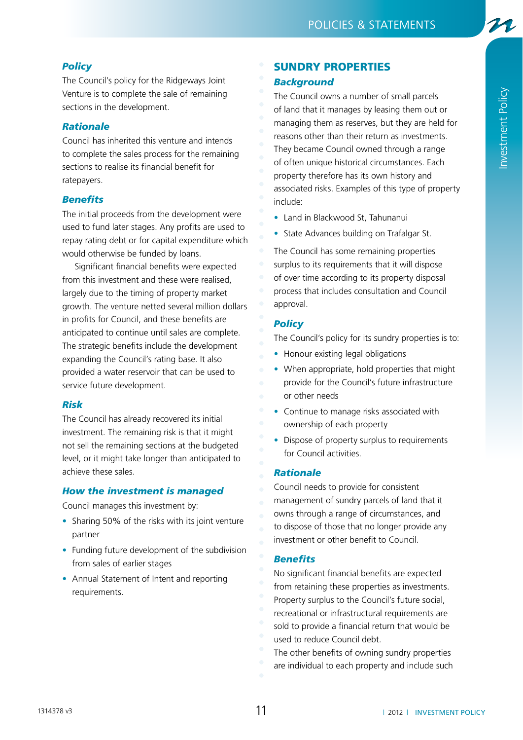# *Policy*

The Council's policy for the Ridgeways Joint Venture is to complete the sale of remaining sections in the development.

# *Rationale*

Council has inherited this venture and intends to complete the sales process for the remaining sections to realise its financial benefit for ratepayers.

# *Benefits*

The initial proceeds from the development were used to fund later stages. Any profits are used to repay rating debt or for capital expenditure which would otherwise be funded by loans.

Significant financial benefits were expected from this investment and these were realised, largely due to the timing of property market growth. The venture netted several million dollars in profits for Council, and these benefits are anticipated to continue until sales are complete. The strategic benefits include the development expanding the Council's rating base. It also provided a water reservoir that can be used to service future development.

## *Risk*

The Council has already recovered its initial investment. The remaining risk is that it might not sell the remaining sections at the budgeted level, or it might take longer than anticipated to achieve these sales.

# *How the investment is managed*

Council manages this investment by:

- Sharing 50% of the risks with its joint venture partner
- Funding future development of the subdivision from sales of earlier stages
- Annual Statement of Intent and reporting requirements.

# Sundry properties

## *Background*

The Council owns a number of small parcels of land that it manages by leasing them out or managing them as reserves, but they are held for reasons other than their return as investments. They became Council owned through a range of often unique historical circumstances. Each property therefore has its own history and associated risks. Examples of this type of property include:

Investment Policy

Investment Policy

- Land in Blackwood St. Tahunanui
- State Advances building on Trafalgar St.

The Council has some remaining properties surplus to its requirements that it will dispose of over time according to its property disposal process that includes consultation and Council approval.

# *Policy*

The Council's policy for its sundry properties is to:

- Honour existing legal obligations
- When appropriate, hold properties that might provide for the Council's future infrastructure or other needs
- Continue to manage risks associated with ownership of each property
- Dispose of property surplus to requirements for Council activities.

## *Rationale*

Council needs to provide for consistent management of sundry parcels of land that it owns through a range of circumstances, and to dispose of those that no longer provide any investment or other benefit to Council.

## *Benefits*

- No significant financial benefits are expected
- from retaining these properties as investments.
- Property surplus to the Council's future social,
- recreational or infrastructural requirements are
- sold to provide a financial return that would be
- used to reduce Council debt.
- The other benefits of owning sundry properties
- are individual to each property and include such